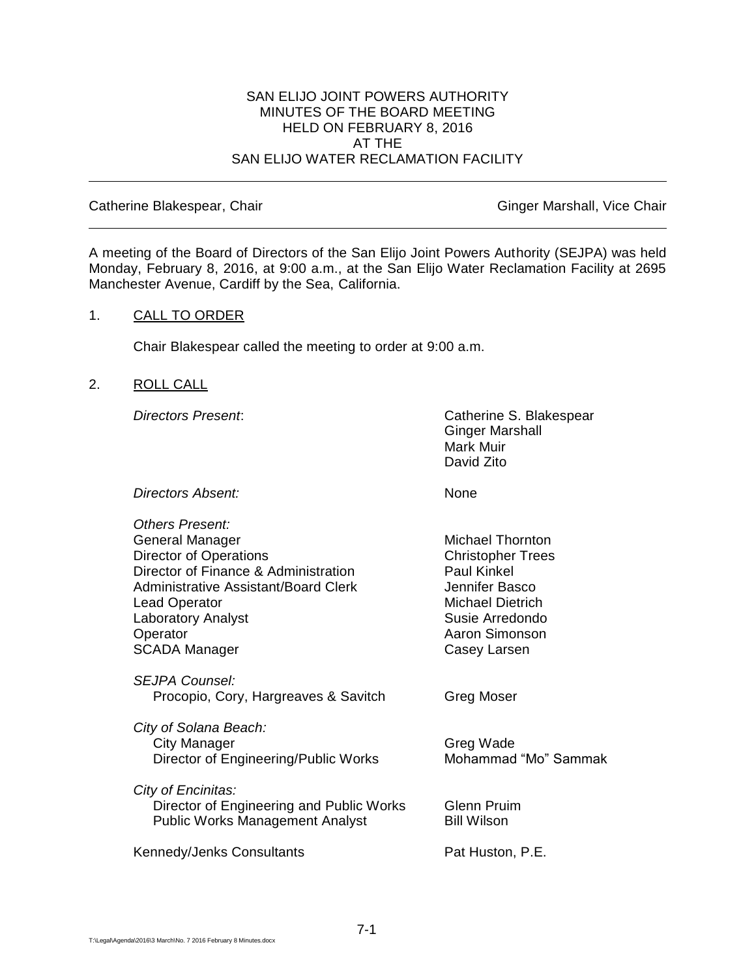### SAN ELIJO JOINT POWERS AUTHORITY MINUTES OF THE BOARD MEETING HELD ON FEBRUARY 8, 2016 AT THE SAN ELIJO WATER RECLAMATION FACILITY

Catherine Blakespear, Chair Ginger Marshall, Vice Chair Ginger Marshall, Vice Chair

A meeting of the Board of Directors of the San Elijo Joint Powers Authority (SEJPA) was held Monday, February 8, 2016, at 9:00 a.m., at the San Elijo Water Reclamation Facility at 2695 Manchester Avenue, Cardiff by the Sea, California.

### 1. CALL TO ORDER

Chair Blakespear called the meeting to order at 9:00 a.m.

## 2. ROLL CALL

*Directors Present*: Catherine S. Blakespear Ginger Marshall Mark Muir David Zito

*Directors Absent:* None

| <b>Others Present:</b>                   |                          |
|------------------------------------------|--------------------------|
| General Manager                          | Michael Thornton         |
| <b>Director of Operations</b>            | <b>Christopher Trees</b> |
| Director of Finance & Administration     | <b>Paul Kinkel</b>       |
| Administrative Assistant/Board Clerk     | Jennifer Basco           |
| Lead Operator                            | Michael Dietrich         |
| <b>Laboratory Analyst</b>                | Susie Arredondo          |
| Operator                                 | Aaron Simonson           |
| <b>SCADA Manager</b>                     | Casey Larsen             |
| <b>SEJPA Counsel:</b>                    |                          |
| Procopio, Cory, Hargreaves & Savitch     | Greg Moser               |
|                                          |                          |
| City of Solana Beach:                    |                          |
| City Manager                             | Greg Wade                |
| Director of Engineering/Public Works     | Mohammad "Mo" Sammak     |
|                                          |                          |
| City of Encinitas:                       |                          |
| Director of Engineering and Public Works | <b>Glenn Pruim</b>       |
| <b>Public Works Management Analyst</b>   | <b>Bill Wilson</b>       |
| <b>Kennedy/Jenks Consultants</b>         | Pat Huston, P.E.         |
|                                          |                          |
|                                          |                          |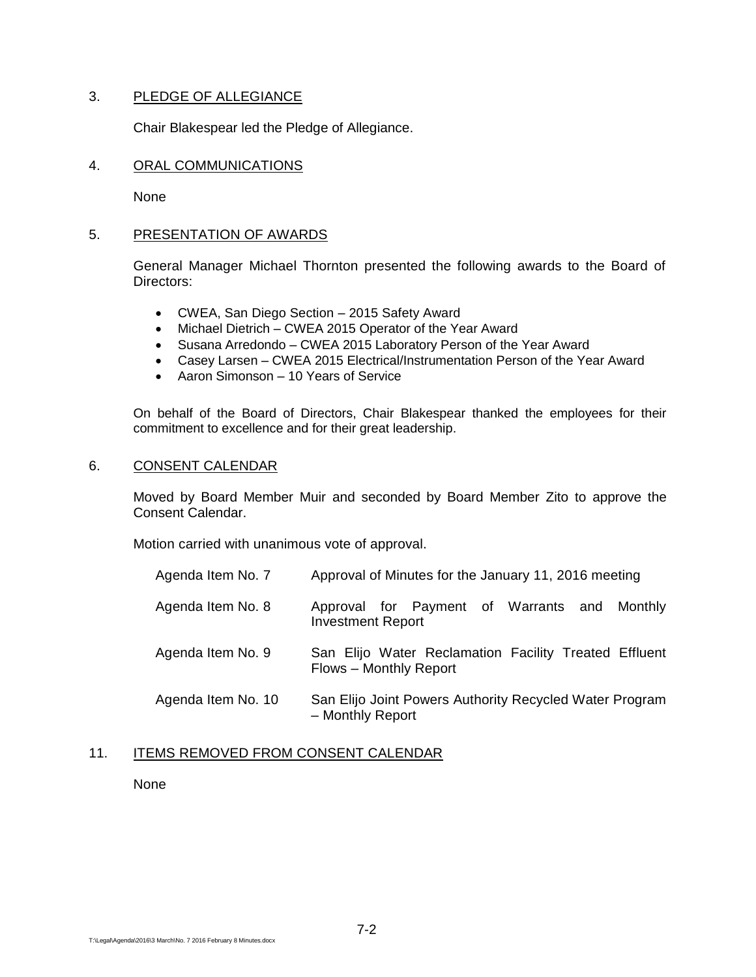# 3. PLEDGE OF ALLEGIANCE

Chair Blakespear led the Pledge of Allegiance.

### 4. ORAL COMMUNICATIONS

None

# 5. PRESENTATION OF AWARDS

General Manager Michael Thornton presented the following awards to the Board of Directors:

- CWEA, San Diego Section 2015 Safety Award
- Michael Dietrich CWEA 2015 Operator of the Year Award
- Susana Arredondo CWEA 2015 Laboratory Person of the Year Award
- Casey Larsen CWEA 2015 Electrical/Instrumentation Person of the Year Award
- Aaron Simonson 10 Years of Service

On behalf of the Board of Directors, Chair Blakespear thanked the employees for their commitment to excellence and for their great leadership.

### 6. CONSENT CALENDAR

Moved by Board Member Muir and seconded by Board Member Zito to approve the Consent Calendar.

Motion carried with unanimous vote of approval.

| Agenda Item No. 7  | Approval of Minutes for the January 11, 2016 meeting                            |
|--------------------|---------------------------------------------------------------------------------|
| Agenda Item No. 8  | Approval for Payment of Warrants and Monthly<br><b>Investment Report</b>        |
| Agenda Item No. 9  | San Elijo Water Reclamation Facility Treated Effluent<br>Flows - Monthly Report |
| Agenda Item No. 10 | San Elijo Joint Powers Authority Recycled Water Program<br>- Monthly Report     |

# 11. ITEMS REMOVED FROM CONSENT CALENDAR

#### None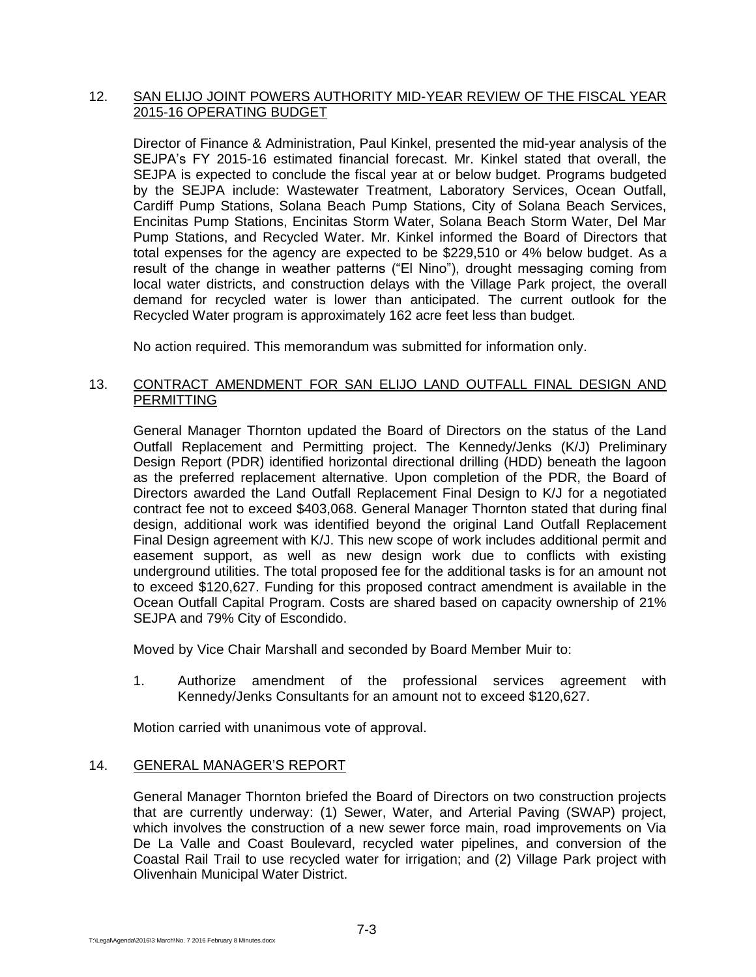## 12. SAN ELIJO JOINT POWERS AUTHORITY MID-YEAR REVIEW OF THE FISCAL YEAR 2015-16 OPERATING BUDGET

Director of Finance & Administration, Paul Kinkel, presented the mid-year analysis of the SEJPA's FY 2015-16 estimated financial forecast. Mr. Kinkel stated that overall, the SEJPA is expected to conclude the fiscal year at or below budget. Programs budgeted by the SEJPA include: Wastewater Treatment, Laboratory Services, Ocean Outfall, Cardiff Pump Stations, Solana Beach Pump Stations, City of Solana Beach Services, Encinitas Pump Stations, Encinitas Storm Water, Solana Beach Storm Water, Del Mar Pump Stations, and Recycled Water. Mr. Kinkel informed the Board of Directors that total expenses for the agency are expected to be \$229,510 or 4% below budget. As a result of the change in weather patterns ("El Nino"), drought messaging coming from local water districts, and construction delays with the Village Park project, the overall demand for recycled water is lower than anticipated. The current outlook for the Recycled Water program is approximately 162 acre feet less than budget.

No action required. This memorandum was submitted for information only.

### 13. CONTRACT AMENDMENT FOR SAN ELIJO LAND OUTFALL FINAL DESIGN AND PERMITTING

General Manager Thornton updated the Board of Directors on the status of the Land Outfall Replacement and Permitting project. The Kennedy/Jenks (K/J) Preliminary Design Report (PDR) identified horizontal directional drilling (HDD) beneath the lagoon as the preferred replacement alternative. Upon completion of the PDR, the Board of Directors awarded the Land Outfall Replacement Final Design to K/J for a negotiated contract fee not to exceed \$403,068. General Manager Thornton stated that during final design, additional work was identified beyond the original Land Outfall Replacement Final Design agreement with K/J. This new scope of work includes additional permit and easement support, as well as new design work due to conflicts with existing underground utilities. The total proposed fee for the additional tasks is for an amount not to exceed \$120,627. Funding for this proposed contract amendment is available in the Ocean Outfall Capital Program. Costs are shared based on capacity ownership of 21% SEJPA and 79% City of Escondido.

Moved by Vice Chair Marshall and seconded by Board Member Muir to:

1. Authorize amendment of the professional services agreement with Kennedy/Jenks Consultants for an amount not to exceed \$120,627.

Motion carried with unanimous vote of approval.

### 14. GENERAL MANAGER'S REPORT

General Manager Thornton briefed the Board of Directors on two construction projects that are currently underway: (1) Sewer, Water, and Arterial Paving (SWAP) project, which involves the construction of a new sewer force main, road improvements on Via De La Valle and Coast Boulevard, recycled water pipelines, and conversion of the Coastal Rail Trail to use recycled water for irrigation; and (2) Village Park project with Olivenhain Municipal Water District.